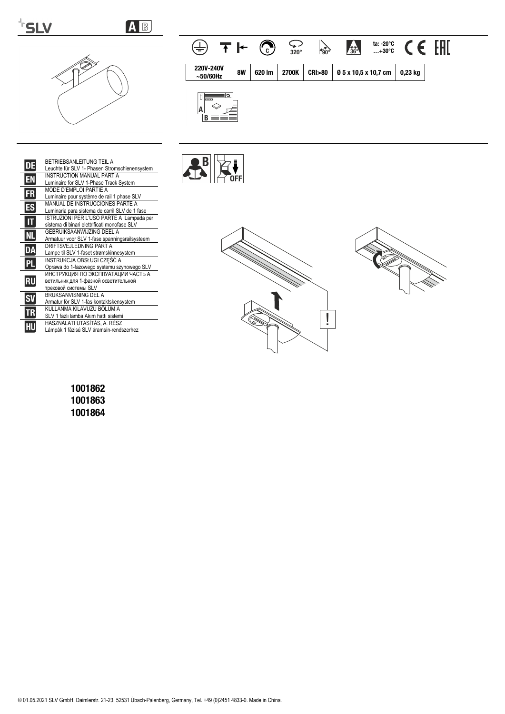# **FSLV**

# AB



#### $\overline{\mathcal{L}}$ <br>320° ta: -20°C<br>...+30°C CE EHI  $\oplus$  TH  $\odot$  $\searrow$ 4569 220V-240V **8W** 620 lm 2700K **CRI>80** 0 5 x 10,5 x 10,7 cm  $0,23$  kg  $\sim$  50/60Hz



| DE        | <b>BETRIEBSANI FITUNG TEIL A</b><br>Leuchte für SLV 1- Phasen Stromschienensystem                  |
|-----------|----------------------------------------------------------------------------------------------------|
| EN        | <b>INSTRUCTION MANUAL PART A</b><br>Luminaire for SLV 1-Phase Track System                         |
| <b>FR</b> | MODE D'EMPLOI PARTIE A<br>Luminaire pour système de rail 1 phase SLV                               |
| ES        | MANUAL DE INSTRUCCIONES PARTE A<br>Luminaria para sistema de carril SLV de 1 fase                  |
|           | ISTRUZIONI PER L'USO PARTE A Lampada per<br>sistema di binari elettrificati monofase SLV           |
| NI        | GEBRUIKSAANWIJZING DEEL A<br>Armatuur voor SLV 1-fase spanningsrailsysteem                         |
| DA        | DRIFTSVEJLEDNING PART A<br>Lampe til SLV 1-faset strømskinnesystem                                 |
| PL        | INSTRUKCJA OBSŁUGI CZEŚĆ A<br>Oprawa do 1-fazowego systemu szynowego SLV                           |
| RU        | ИНСТРУКЦИЯ ПО ЭКСПЛУАТАЦИИ ЧАСТЬ А<br>ветильник для 1-фазной осветительной<br>трековой системы SLV |
|           | BRUKSANVISNING DEL A<br>Armatur för SLV 1-fas kontaktskensystem                                    |
| TR        | KULLANMA KILAVUZU BÖLÜM A<br>SLV 1 fazlı lamba Akım hattı sistemi                                  |
|           | HASZNÁLATI UTASÍTÁS, A. RÉSZ<br>Lámpák 1 fázisú SLV áramsín-rendszerhez                            |







1001862 1001863 1001864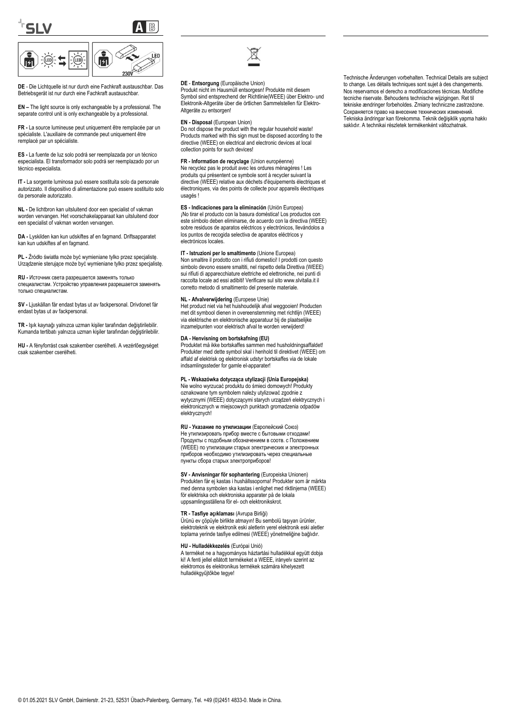

**DE** - Die Lichtquelle ist nur durch eine Fachkraft austauschbar. Das Betriebsgerät ist nur durch eine Fachkraft austauschbar.

**EN –** The light source is only exchangeable by a professional. The separate control unit is only exchangeable by a professional.

**FR -** La source lumineuse peut uniquement être remplacée par un spécialiste. L'auxiliaire de commande peut uniquement être remplacé par un spécialiste.

**ES -** La fuente de luz solo podrá ser reemplazada por un técnico especialista. El transformador solo podrá ser reemplazado por un técnico especialista.

**IT -** La sorgente luminosa può essere sostituita solo da personale autorizzato. Il dispositivo di alimentazione può essere sostituito solo da personale autorizzato.

**NL -** De lichtbron kan uitsluitend door een specialist of vakman worden vervangen. Het voorschakelapparaat kan uitsluitend door een specialist of vakman worden vervangen.

**DA -** Lyskilden kan kun udskiftes af en fagmand. Driftsapparatet kan kun udskiftes af en fagmand.

**PL -** Źródło światła może być wymieniane tylko przez specjalistę. Urządzenie sterujące może być wymieniane tylko przez specjalistę.

**RU -** Источник света разрешается заменять только специалистам. Устройство управления разрешается заменять только специалистам.

**SV -** Ljuskällan får endast bytas ut av fackpersonal. Drivdonet får endast bytas ut av fackpersonal.

**TR -** Işık kaynağı yalnızca uzman kişiler tarafından değiştirilebilir. Kumanda tertibatı yalnızca uzman kişiler tarafından değiştirilebilir.

**HU -** A fényforrást csak szakember cserélheti. A vezérlőegységet csak szakember cserélheti.



#### **DE** - **Entsorgung** (Europäische Union)

Produkt nicht im Hausmüll entsorgesn! Produkte mit diesem Symbol sind entsprechend der Richtlinie(WEEE) über Elektro- und Elektronik-Altgeräte über die örtlichen Sammelstellen für Elektro-Altgeräte zu entsorgen!

**EN - Disposal** (European Union)

Do not dispose the product with the regular household waste! Products marked with this sign must be disposed according to the directive (WEEE) on electrical and electronic devices at local collection points for such devices!

**FR - Information de recyclage** (Union européenne) Ne recyclez pas le produit avec les ordures ménagères ! Les produits qui présentent ce symbole sont à recycler suivant la directive (WEEE) relative aux déchets d'équipements électriques et électroniques, via des points de collecte pour appareils électriques usagés !

**ES - Indicaciones para la eliminación** (Unión Europea)

¡No tirar el producto con la basura doméstica! Los productos con este símbolo deben eliminarse, de acuerdo con la directiva (WEEE) sobre residuos de aparatos eléctricos y electrónicos, llevándolos a los puntos de recogida selectiva de aparatos eléctricos y electrónicos locales.

#### **IT - Istruzioni per lo smaltimento** (Unione Europea)

Non smaltire il prodotto con i rifiuti domestici! I prodotti con questo simbolo devono essere smaltiti, nel rispetto della Direttiva (WEEE) sui rifiuti di apparecchiature elettriche ed elettroniche, nei punti di raccolta locale ad essi adibiti! Verificare sul sito www.slvitalia.it il corretto metodo di smaltimento del presente materiale.

#### **NL - Afvalverwijdering** (Europese Unie)

Het product niet via het huishoudelijk afval weggooien! Producten met dit symbool dienen in overeenstemming met richtlijn (WEEE) via elektrische en elektronische apparatuur bij de plaatselijke inzamelpunten voor elektrisch afval te worden verwijderd!

# **DA - Henvisning om bortskafning (EU)**

Produktet må ikke bortskaffes sammen med husholdningsaffaldet! Produkter med dette symbol skal i henhold til direktivet (WEEE) om affald af elektrisk og elektronisk udstyr bortskaffes via de lokale indsamlingssteder for gamle el-apparater!

#### **PL - Wskazówka dotycząca utylizacji (Unia Europejska)**

Nie wolno wyrzucać produktu do śmieci domowych! Produkty oznakowane tym symbolem należy utylizować zgodnie z wytycznymi (WEEE) dotyczącymi starych urządzeń elektrycznych i elektronicznych w miejscowych punktach gromadzenia odpadów elektrycznych!

#### **RU - Указание по утилизации** (Европейский Союз)

Не утилизировать прибор вместе с бытовыми отходами! Продукты с подобным обозначением в соотв. с Положением (WEEE) по утилизации старых электрических и электронных приборов необходимо утилизировать через специальные пункты сбора старых электроприборов!

**SV - Anvisningar för sophantering** (Europeiska Unionen) Produkten får ej kastas i hushållssoporna! Produkter som är märkta med denna symbolen ska kastas i enlighet med riktlinjerna (WEEE) för elektriska och elektroniska apparater på de lokala uppsamlingsställena för el- och elektronikskrot.

#### **TR - Tasfiye açıklaması** (Avrupa Birliği)

Ürünü ev çöpüyle birlikte atmayın! Bu sembolü taşıyan ürünler, elektroteknik ve elektronik eski aletlerin yerel elektronik eski aletler toplama yerinde tasfiye edilmesi (WEEE) yönetmeliğine bağlıdır.

#### **HU - Hulladékkezelés** (Európai Unió)

A terméket ne a hagyományos háztartási hulladékkal együtt dobja ki! A fenti jellel ellátott termékeket a WEEE, irányelv szerint az elektromos és elektronikus termékek számára kihelyezett hulladékgyűjtőkbe tegye!

Technische Änderungen vorbehalten. Technical Details are subject to change. Les détails techniques sont sujet à des changements. Nos reservamos el derecho a modificaciones técnicas. Modifiche tecniche riservate. Behoudens technische wijzigingen. Ret til tekniske ændringer forbeholdes. Zmiany techniczne zastrzeżone. Сохраняется право на внесение технических изменений. Tekniska ändringar kan förekomma. Teknik değişiklik yapma hakkı saklıdır. A technikai részletek termékenként változhatnak.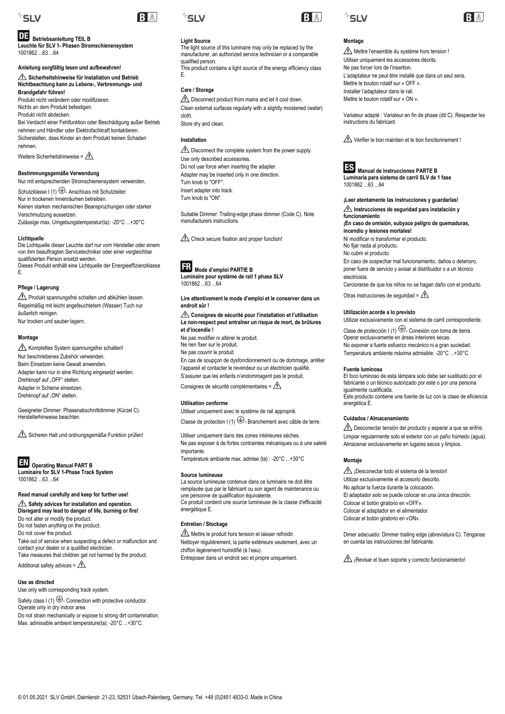

# **Betriebsanleitung TEIL B**

**Leuchte für SLV 1- Phasen Stromschienensystem** 1001862 ...63 ...64

**Anleitung sorgfältig lesen und aufbewahren! Sicherheitshinweise für Installation und Betrieb Nichtbeachtung kann zu Lebens-, Verbrennungs- und Brandgefahr führen!**

Produkt nicht verändern oder modifizieren. Nichts an dem Produkt befestigen. Produkt nicht abdecken. Bei Verdacht einer Fehlfunktion oder Beschädigung außer Betrieb nehmen und Händler oder Elektrofachkraft kontaktieren. Sicherstellen, dass Kinder an dem Produkt keinen Schaden nehmen.

Weitere Sicherheitshinweise =  $\Lambda$ 

**Bestimmungsgemäße Verwendung** Nur mit entsprechenden Stromschienensystem verwenden. Schutzklasse I (1)  $\bigoplus$ - Anschluss mit Schutzleiter. Nur in trockenen Innenräumen betreiben. Keinen starken mechanischen Beanspruchungen oder starker Verschmutzung aussetzen. Zulässige max. Umgebungstemperatur(ta): -20°C ...+30°C

#### **Lichtquelle**

Die Lichtquelle dieser Leuchte darf nur vom Hersteller oder einem von ihm beauftragten Servicetechniker oder einer vergleichbar qualifizierten Person ersetzt werden. Dieses Produkt enthält eine Lichtquelle der Energieeffizienzklasse E.

## **Pflege / Lagerung**

Produkt spannungsfrei schalten und abkühlen lassen. Regelmäßig mit leicht angefeuchtetem (Wasser) Tuch nur äußerlich reinigen. Nur trocken und sauber lagern.

# **Montage**

 $\triangle$  Komplettes System spannungsfrei schalten! Nur beschriebenes Zubehör verwenden. Beim Einsetzen keine Gewalt anwenden. Adapter kann nur in eine Richtung eingesetzt werden. Drehknopf auf "OFF" stellen. Adapter in Schiene einsetzen. Drehknopf auf "ON" stellen.

Geeigneter Dimmer: Phasenabschnittdimmer (Kürzel C). Herstellerhinweise beachten.

Sicheren Halt und ordnungsgemäße Funktion prüfen!



 **Operating Manual PART B Luminaire for SLV 1-Phase Track System** 1001862 ...63 ...64

# **Read manual carefully and keep for further use!**

**Safety advices for installation and operation. Disregard may lead to danger of life, burning or fire!** Do not alter or modify the product. Do not fasten anything on the product. Do not cover the product. Take out of service when suspecting a defect or malfunction and contact your dealer or a qualified electrician.

Take measures that children get not harmed by the product. Additional safety advices =  $\triangle$ 

#### **Use as directed**

Use only with corresponding track system. Safety class  $I(1) \bigoplus$ - Connection with protective conductor. Operate only in dry indoor area. Do not strain mechanically or expose to strong dirt contamination. Max. admissible ambient temperature(ta): -20°C ...+30°C.



BA

# **Light Source**

The light source of this luminaire may only be replaced by the manufacturer, an authorized service technician or a comparable qualified person.

This product contains a light source of the energy efficiency class E.

# **Care / Storage**

 $\triangle$  Disconnect product from mains and let it cool down. Clean external surfaces regularly with a slightly moistened (water) cloth.

Store dry and clean.

# **Installation**

 $\triangle$  Disconnect the complete system from the power supply. Use only described accessories. Do not use force when inserting the adapter. Adapter may be inserted only in one direction. Turn knob to "OFF". Insert adapter into track. Turn knob to "ON".

Suitable Dimmer: Trailing-edge phase dimmer (Code C). Note manufacturers instructions.

Check secure fixation and proper function!

# **Mode d'emploi PARTIE B**

**Luminaire pour système de rail 1 phase SLV** 1001862 ...63 ...64

**Lire attentivement le mode d'emploi et le conserver dans un endroit sûr !**

### **Consignes de sécurité pour l'installation et l'utilisation Le non-respect peut entraîner un risque de mort, de brûlures et d'incendie !**

Ne pas modifier ni altérer le produit.

Ne rien fixer sur le produit. Ne pas couvrir le produit. En cas de soupçon de dysfonctionnement ou de dommage, arrêter

l'appareil et contacter le revendeur ou un électricien qualifié. S'assurer que les enfants n'endommagent pas le produit.

Consignes de sécurité complémentaires =  $\triangle$ 

# **Utilisation conforme**

Utiliser uniquement avec le système de rail approprié. Classe de protection  $\vert$  (1)  $\bigoplus$ -Branchement avec câble de terre.

Utiliser uniquement dans des zones intérieures sèches. Ne pas exposer à de fortes contraintes mécaniques ou à une saleté importante. Température ambiante max. admise (ta) : -20°C ...+30°C

#### **Source lumineuse**

La source lumineuse contenue dans ce luminaire ne doit être remplacée que par le fabricant ou son agent de maintenance ou une personne de qualification équivalente. Ce produit contient une source lumineuse de la classe d'efficacité énergétique E.

# **Entretien / Stockage**

Mettre le produit hors tension et laisser refroidir. Nettoyer régulièrement, la partie extérieure seulement, avec un chiffon légèrement humidifié (à l'eau). Entreposer dans un endroit sec et propre uniquement.





# **Montage**

Mettre l'ensemble du système hors tension ! Utiliser uniquement les accessoires décrits. Ne pas forcer lors de l'insertion. L'adaptateur ne peut être installé que dans un seul sens. Mettre le bouton rotatif sur « OFF ». Installer l'adaptateur dans le rail. Mettre le bouton rotatif sur « ON ».

Variateur adapté : Variateur en fin de phase (dit C). Respecter les instructions du fabricant.

Vérifier le bon maintien et le bon fonctionnement !



**Manual de instrucciones PARTE B Luminaria para sistema de carril SLV de 1 fase** 1001862 63 64

**¡Leer atentamente las instrucciones y guardarlas! Instrucciones de seguridad para instalación y funcionamiento ¡En caso de omisión, subyace peligro de quemaduras, incendio y lesiones mortales!** Ni modificar ni transformar el producto. No fijar nada al producto. No cubrir el producto. En caso de sospechar mal funcionamiento, daños o deterioro, poner fuera de servicio y avisar al distribuidor o a un técnico electricista.

Cerciorarse de que los niños no se hagan daño con el producto.

Otras instrucciones de seguridad =  $\triangle$ 

# **Utilización acorde a lo previsto**

Utilizar exclusivamente con el sistema de carril correspondiente. Clase de protección I (1)  $\bigoplus$ - Conexión con toma de tierra. Operar exclusivamente en áreas interiores secas. No exponer a fuerte esfuerzo mecánico ni a gran suciedad. Temperatura ambiente máxima admisible: -20°C ...+30°C

#### **Fuente luminosa**

El foco luminoso de esta lámpara solo debe ser sustituido por el fabricante o un técnico autorizado por este o por una persona igualmente cualificada.

Este producto contiene una fuente de luz con la clase de eficiencia energética E.

#### **Cuidados / Almacenamiento**

 $\sqrt{\phantom{a}}\phantom{a}$  Desconectar tensión del producto y esperar a que se enfríe. Limpiar regularmente solo el exterior con un paño húmedo (agua). Almacenar exclusivamente en lugares secos y limpios.

#### **Montaje**

 $\triangle$  i Desconectar todo el sistema de la tensión! Utilizar exclusivamente el accesorio descrito. No aplicar la fuerza durante la colocación. El adaptador solo se puede colocar en una única dirección. Colocar el botón giratorio en «OFF». Colocar el adaptador en el alimentador. Colocar el botón giratorio en «ON».

Dimer adecuado: Dimmer trailing edge (abreviatura C). Ténganse en cuenta las instrucciones del fabricante.

 $\Lambda$  ¡Revisar el buen soporte y correcto funcionamiento!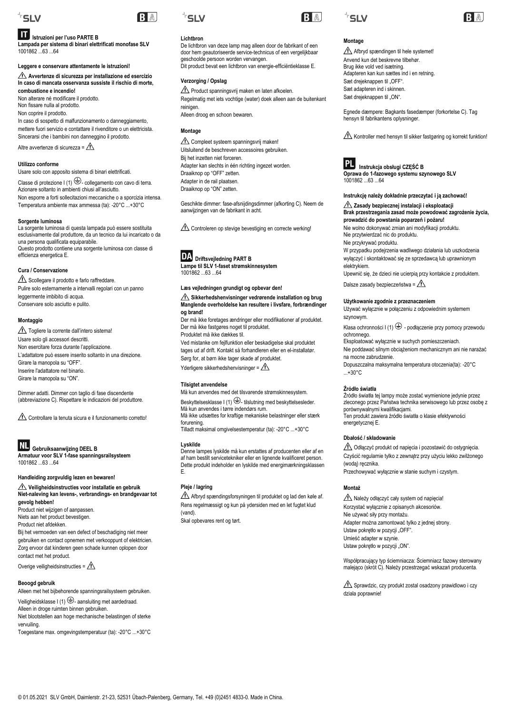

# **Istruzioni per l'uso PARTE B**

**Lampada per sistema di binari elettrificati monofase SLV** 1001862 63 64

**Leggere e conservare attentamente le istruzioni!**

**Avvertenze di sicurezza per installazione ed esercizio In caso di mancata osservanza sussiste il rischio di morte, combustione e incendio!**

Non alterare né modificare il prodotto. Non fissare nulla al prodotto.

Non coprire il prodotto.

In caso di sospetto di malfunzionamento o danneggiamento, mettere fuori servizio e contattare il rivenditore o un elettricista. Sincerarsi che i bambini non danneggino il prodotto.

Altre avvertenze di sicurezza =  $\triangle$ 

# **Utilizzo conforme**

Usare solo con apposito sistema di binari elettrificati. Classe di protezione I (1)  $\bigoplus$ - collegamento con cavo di terra. Azionare soltanto in ambienti chiusi all'asciutto. Non esporre a forti sollecitazioni meccaniche o a sporcizia intensa. Temperatura ambiente max ammessa (ta): -20°C ...+30°C

#### **Sorgente luminosa**

La sorgente luminosa di questa lampada può essere sostituita esclusivamente dal produttore, da un tecnico da lui incaricato o da una persona qualificata equiparabile. Questo prodotto contiene una sorgente luminosa con classe di efficienza energetica E.

#### **Cura / Conservazione**

Scollegare il prodotto e farlo raffreddare. Pulire solo esternamente a intervalli regolari con un panno leggermente imbibito di acqua. Conservare solo asciutto e pulito.

#### **Montaggio**

Togliere la corrente dall'intero sistema! Usare solo gli accessori descritti. Non esercitare forza durante l'applicazione. L'adattatore può essere inserito soltanto in una direzione. Girare la manopola su "OFF". Inserire l'adattatore nel binario. Girare la manopola su "ON".

Dimmer adatti. Dimmer con taglio di fase discendente (abbreviazione C). Rispettare le indicazioni del produttore.

Controllare la tenuta sicura e il funzionamento corretto!

**Gebruiksaanwijzing DEEL B Armatuur voor SLV 1-fase spanningsrailsysteem** 1001862 ...63 ...64

# **Handleiding zorgvuldig lezen en bewaren!**

**Veiligheidsinstructies voor installatie en gebruik Niet-naleving kan levens-, verbrandings- en brandgevaar tot gevolg hebben!** Product niet wijzigen of aanpassen. Niets aan het product bevestigen. Product niet afdekken.

Bij het vermoeden van een defect of beschadiging niet meer gebruiken en contact opnemen met verkooppunt of elektricien. Zorg ervoor dat kinderen geen schade kunnen oplopen door contact met het product.

Overige veiligheidsinstructies =  $\Lambda$ 

# **Beoogd gebruik**

Alleen met het bijbehorende spanningsrailsysteem gebruiken. Veiligheidsklasse I (1)  $\bigoplus$ - aansluiting met aardedraad.

Alleen in droge ruimten binnen gebruiken. Niet blootstellen aan hoge mechanische belastingen of sterke vervuiling.

Toegestane max. omgevingstemperatuur (ta): -20°C ...+30°C



RA

# **Lichtbron**

De lichtbron van deze lamp mag alleen door de fabrikant of een door hem geautoriseerde service-technicus of een vergelijkbaar geschoolde persoon worden vervangen. Dit product bevat een lichtbron van energie-efficiëntieklasse E.

# **Verzorging / Opslag**

 $\triangle$  Product spanningsvrij maken en laten afkoelen. Regelmatig met iets vochtige (water) doek alleen aan de buitenkant reinigen. Alleen droog en schoon bewaren.

# **Montage**

 $\triangle$  Compleet systeem spanningsvrij maken! Uitsluitend de beschreven accessoires gebruiken. Bij het inzetten niet forceren. Adapter kan slechts in één richting ingezet worden. Draaiknop op "OFF" zetten. Adapter in de rail plaatsen. Draaiknop op "ON" zetten.

Geschikte dimmer: fase-afsnijdingsdimmer (afkorting C). Neem de aanwijzingen van de fabrikant in acht.

Controleren op stevige bevestiging en correcte werking!



 **Driftsvejledning PART B Lampe til SLV 1-faset strømskinnesystem**  $1001862$   $63$   $64$ 

#### **Læs vejledningen grundigt og opbevar den!**

#### Sikkerhedshenvisninger vedrørende installation og brug **Manglende overholdelse kan resultere i livsfare, forbrændinger og brand!**

Der må ikke foretages ændringer eller modifikationer af produktet. Der må ikke fastgøres noget til produktet. Produktet må ikke dækkes til.

Ved mistanke om fejlfunktion eller beskadigelse skal produktet tages ud af drift. Kontakt så forhandleren eller en el-installatør. Sørg for, at børn ikke tager skade af produktet.

Yderligere sikkerhedshenvisninger =  $\Lambda$ 

#### **Tilsigtet anvendelse**

Må kun anvendes med det tilsvarende strømskinnesystem. Beskyttelsesklasse I (1)  $\bigoplus$ - tilslutning med beskyttelsesleder.

Må kun anvendes i tørre indendørs rum. Må ikke udsættes for kraftige mekaniske belastninger eller stærk

forurening. Tilladt maksimal omgivelsestemperatur (ta): -20°C ...+30°C

# **Lyskilde**

Denne lampes lyskilde må kun erstattes af producenten eller af en af ham bestilt servicetekniker eller en lignende kvalificeret person. Dette produkt indeholder en lyskilde med energimærkningsklassen E.

# **Pleje / lagring**

Afbryd spændingsforsyningen til produktet og lad den køle af. Rens regelmæssigt og kun på ydersiden med en let fugtet klud (vand).

Skal opbevares rent og tørt.





# **Montage**

Afbryd spændingen til hele systemet! Anvend kun det beskrevne tilbehør. Brug ikke vold ved isætning. Adapteren kan kun sættes ind i en retning. Sæt drejeknappen til "OFF". Sæt adapteren ind i skinnen. Sæt drejeknappen til "ON".

Egnede dæmpere: Bagkants fasedæmper (forkortelse C). Tag hensyn til fabrikantens oplysninger.

Kontroller med hensyn til sikker fastgøring og korrekt funktion!



 **Instrukcja obsługi CZĘŚĆ B Oprawa do 1-fazowego systemu szynowego SLV** 1001862 ...63 ...64

# **Instrukcję należy dokładnie przeczytać i ją zachować!**

**Zasady bezpiecznej instalacji i eksploatacji Brak przestrzegania zasad może powodować zagrożenie życia, prowadzić do powstania poparzeń i pożaru!**

Nie wolno dokonywać zmian ani modyfikacji produktu. Nie przytwierdzać nic do produktu.

Nie przykrywać produktu.

W przypadku podejrzenia wadliwego działania lub uszkodzenia wyłączyć i skontaktować się ze sprzedawcą lub uprawnionym elektrykiem.

Upewnić się, że dzieci nie ucierpią przy kontakcie z produktem. Dalsze zasady bezpieczeństwa =  $\triangle$ 

# **Użytkowanie zgodnie z przeznaczeniem**

Używać wyłącznie w połączeniu z odpowiednim systemem szynowym.

Klasa ochronności I (1)  $\bigoplus$  - podłączenie przy pomocy przewodu ochronnego.

Eksploatować wyłącznie w suchych pomieszczeniach.

Nie poddawać silnym obciążeniom mechanicznym ani nie narażać na mocne zabrudzenie.

Dopuszczalna maksymalna temperatura otoczenia(ta): -20°C ...+30°C

#### **Źródło światła**

Źródło światła tej lampy może zostać wymienione jedynie przez zleconego przez Państwa technika serwisowego lub przez osobę z porównywalnymi kwalifikacjami. Ten produkt zawiera źródło światła o klasie efektywności energetycznej E.

#### **Dbałość / składowanie**

Odłączyć produkt od napięcia i pozostawić do ostygnięcia. Czyścić regularnie tylko z zewnątrz przy użyciu lekko zwilżonego (wodą) ręcznika.

Przechowywać wyłącznie w stanie suchym i czystym.

# **Montaż**

Należy odłączyć cały system od napięcia! Korzystać wyłącznie z opisanych akcesoriów. Nie używać siły przy montażu. Adapter można zamontować tylko z jednej strony. Ustaw pokrętło w pozycji "OFF". Umieść adapter w szynie. Ustaw pokrętło w pozycji "ON".

Współpracujący typ ściemniacza: Ściemniacz fazowy sterowany malejąco (skrót C). Należy przestrzegać wskazań producenta.

Sprawdzic, czy produkt zostal osadzony prawidlowo i czy dziala poprawnie!